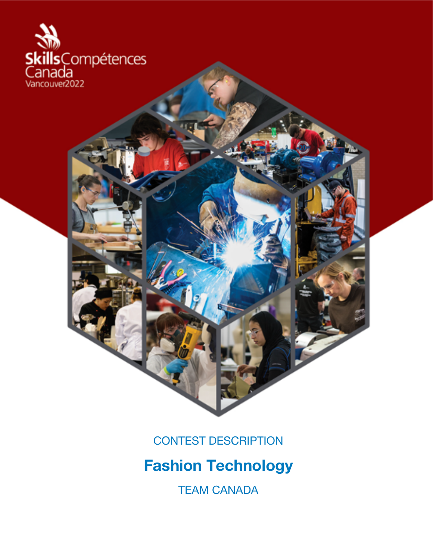

CONTEST DESCRIPTION

# **Fashion Technology**

TEAM CANADA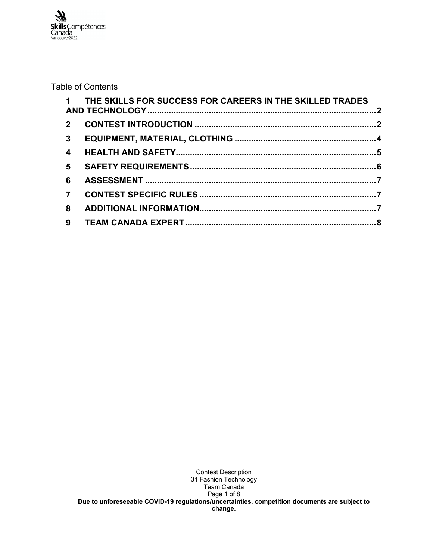Table of Contents

|                         | 1 THE SKILLS FOR SUCCESS FOR CAREERS IN THE SKILLED TRADES |  |
|-------------------------|------------------------------------------------------------|--|
|                         |                                                            |  |
|                         |                                                            |  |
| $\overline{\mathbf{4}}$ |                                                            |  |
| 5 <sup>5</sup>          |                                                            |  |
| 6                       |                                                            |  |
| $\overline{7}$          |                                                            |  |
| 8                       |                                                            |  |
|                         |                                                            |  |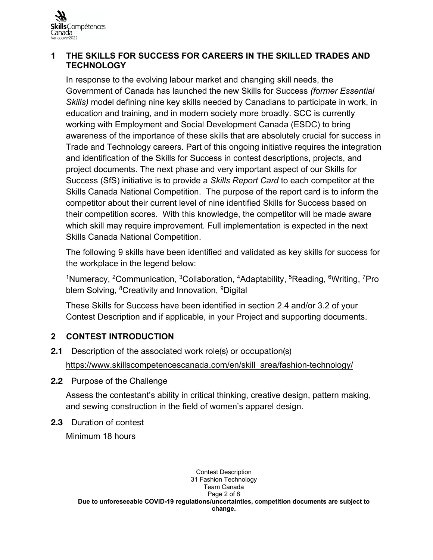

#### **1 THE SKILLS FOR SUCCESS FOR CAREERS IN THE SKILLED TRADES AND TECHNOLOGY**

In response to the evolving labour market and changing skill needs, the Government of Canada has launched the new Skills for Success *(former Essential Skills)* model defining nine key skills needed by Canadians to participate in work, in education and training, and in modern society more broadly. SCC is currently working with Employment and Social Development Canada (ESDC) to bring awareness of the importance of these skills that are absolutely crucial for success in Trade and Technology careers. Part of this ongoing initiative requires the integration and identification of the Skills for Success in contest descriptions, projects, and project documents. The next phase and very important aspect of our Skills for Success (SfS) initiative is to provide a *Skills Report Card* to each competitor at the Skills Canada National Competition. The purpose of the report card is to inform the competitor about their current level of nine identified Skills for Success based on their competition scores. With this knowledge, the competitor will be made aware which skill may require improvement. Full implementation is expected in the next Skills Canada National Competition.

The following 9 skills have been identified and validated as key skills for success for the workplace in the legend below:

<sup>1</sup>Numeracy, <sup>2</sup>Communication, <sup>3</sup>Collaboration, <sup>4</sup>Adaptability, <sup>5</sup>Reading, <sup>6</sup>Writing, <sup>7</sup>Pro blem Solving, <sup>8</sup>Creativity and Innovation, <sup>9</sup>Digital

These Skills for Success have been identified in section 2.4 and/or 3.2 of your Contest Description and if applicable, in your Project and supporting documents.

# **2 CONTEST INTRODUCTION**

- **2.1** Description of the associated work role(s) or occupation(s) https://www.skillscompetencescanada.com/en/skill\_area/fashion-technology/
- **2.2** Purpose of the Challenge

Assess the contestant's ability in critical thinking, creative design, pattern making, and sewing construction in the field of women's apparel design.

**2.3** Duration of contest

Minimum 18 hours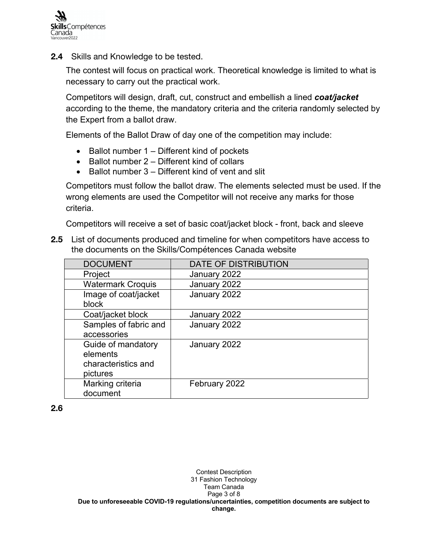

**2.4** Skills and Knowledge to be tested.

The contest will focus on practical work. Theoretical knowledge is limited to what is necessary to carry out the practical work.

Competitors will design, draft, cut, construct and embellish a lined *coat/jacket* according to the theme, the mandatory criteria and the criteria randomly selected by the Expert from a ballot draw.

Elements of the Ballot Draw of day one of the competition may include:

- Ballot number 1 Different kind of pockets
- Ballot number 2 Different kind of collars
- Ballot number 3 Different kind of vent and slit

Competitors must follow the ballot draw. The elements selected must be used. If the wrong elements are used the Competitor will not receive any marks for those criteria.

Competitors will receive a set of basic coat/jacket block - front, back and sleeve

**2.5** List of documents produced and timeline for when competitors have access to the documents on the Skills/Compétences Canada website

| <b>DOCUMENT</b>                                                   | DATE OF DISTRIBUTION |
|-------------------------------------------------------------------|----------------------|
| Project                                                           | January 2022         |
| <b>Watermark Croquis</b>                                          | January 2022         |
| Image of coat/jacket<br>block                                     | January 2022         |
| Coat/jacket block                                                 | January 2022         |
| Samples of fabric and<br>accessories                              | January 2022         |
| Guide of mandatory<br>elements<br>characteristics and<br>pictures | January 2022         |
| Marking criteria<br>document                                      | February 2022        |

#### **2.6**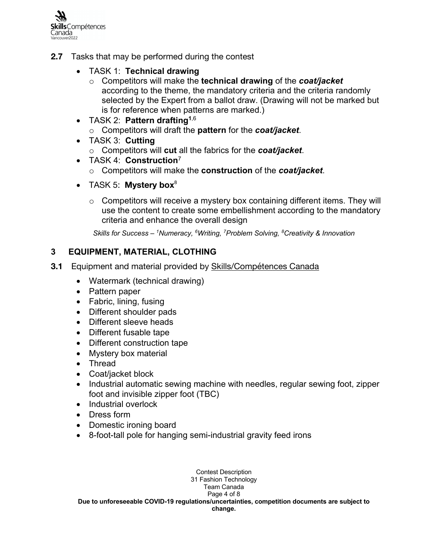

- **2.7** Tasks that may be performed during the contest
	- TASK 1: **Technical drawing**
		- o Competitors will make the **technical drawing** of the *coat/jacket* according to the theme, the mandatory criteria and the criteria randomly selected by the Expert from a ballot draw. (Drawing will not be marked but is for reference when patterns are marked.)
	- TASK 2: **Pattern drafting1**,6
		- o Competitors will draft the **pattern** for the *coat/jacket*.
	- TASK 3: **Cutting**
		- o Competitors will **cut** all the fabrics for the *coat/jacket*.
	- TASK 4: **Construction**<sup>7</sup>
		- o Competitors will make the **construction** of the *coat/jacket*.
	- TASK 5: **Mystery box**<sup>8</sup>
		- $\circ$  Competitors will receive a mystery box containing different items. They will use the content to create some embellishment according to the mandatory criteria and enhance the overall design

*Skills for Success – 1Numeracy, 6Writing, 7Problem Solving, 8Creativity & Innovation*

# **3 EQUIPMENT, MATERIAL, CLOTHING**

- **3.1** Equipment and material provided by Skills/Compétences Canada
	- Watermark (technical drawing)
	- Pattern paper
	- Fabric, lining, fusing
	- Different shoulder pads
	- Different sleeve heads
	- Different fusable tape
	- Different construction tape
	- Mystery box material
	- Thread
	- Coat/jacket block
	- Industrial automatic sewing machine with needles, regular sewing foot, zipper foot and invisible zipper foot (TBC)
	- Industrial overlock
	- Dress form
	- Domestic ironing board
	- 8-foot-tall pole for hanging semi-industrial gravity feed irons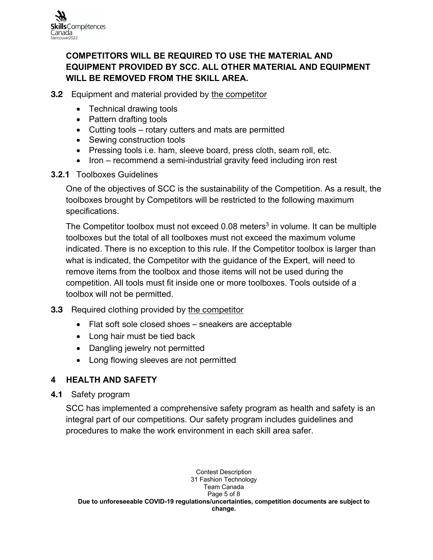# **COMPETITORS WILL BE REQUIRED TO USE THE MATERIAL AND EQUIPMENT PROVIDED BY SCC. ALL OTHER MATERIAL AND EQUIPMENT WILL BE REMOVED FROM THE SKILL AREA.**

- **3.2** Equipment and material provided by the competitor
	- Technical drawing tools
	- Pattern drafting tools
	- Cutting tools rotary cutters and mats are permitted
	- Sewing construction tools
	- Pressing tools i.e. ham, sleeve board, press cloth, seam roll, etc.
	- Iron recommend a semi-industrial gravity feed including iron rest

#### **3.2.1** Toolboxes Guidelines

One of the objectives of SCC is the sustainability of the Competition. As a result, the toolboxes brought by Competitors will be restricted to the following maximum specifications.

The Competitor toolbox must not exceed  $0.08$  meters<sup>3</sup> in volume. It can be multiple toolboxes but the total of all toolboxes must not exceed the maximum volume indicated. There is no exception to this rule. If the Competitor toolbox is larger than what is indicated, the Competitor with the guidance of the Expert, will need to remove items from the toolbox and those items will not be used during the competition. All tools must fit inside one or more toolboxes. Tools outside of a toolbox will not be permitted.

# **3.3** Required clothing provided by the competitor

- Flat soft sole closed shoes sneakers are acceptable
- Long hair must be tied back
- Dangling jewelry not permitted
- Long flowing sleeves are not permitted

# **4 HEALTH AND SAFETY**

**4.1** Safety program

SCC has implemented a comprehensive safety program as health and safety is an integral part of our competitions. Our safety program includes guidelines and procedures to make the work environment in each skill area safer.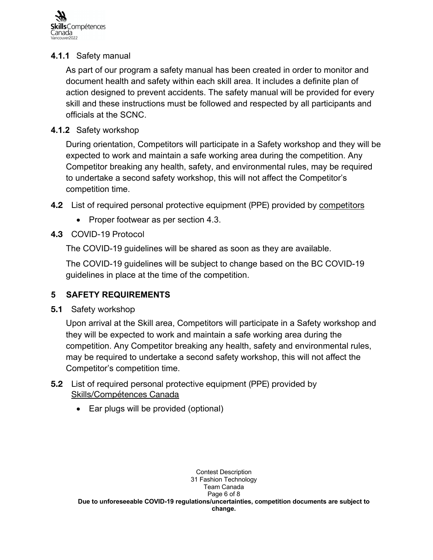

#### **4.1.1** Safety manual

As part of our program a safety manual has been created in order to monitor and document health and safety within each skill area. It includes a definite plan of action designed to prevent accidents. The safety manual will be provided for every skill and these instructions must be followed and respected by all participants and officials at the SCNC.

#### **4.1.2** Safety workshop

During orientation, Competitors will participate in a Safety workshop and they will be expected to work and maintain a safe working area during the competition. Any Competitor breaking any health, safety, and environmental rules, may be required to undertake a second safety workshop, this will not affect the Competitor's competition time.

- **4.2** List of required personal protective equipment (PPE) provided by competitors
	- Proper footwear as per section 4.3.

# **4.3** COVID-19 Protocol

The COVID-19 guidelines will be shared as soon as they are available.

The COVID-19 guidelines will be subject to change based on the BC COVID-19 guidelines in place at the time of the competition.

# **5 SAFETY REQUIREMENTS**

**5.1** Safety workshop

Upon arrival at the Skill area, Competitors will participate in a Safety workshop and they will be expected to work and maintain a safe working area during the competition. Any Competitor breaking any health, safety and environmental rules, may be required to undertake a second safety workshop, this will not affect the Competitor's competition time.

- **5.2** List of required personal protective equipment (PPE) provided by Skills/Compétences Canada
	- Ear plugs will be provided (optional)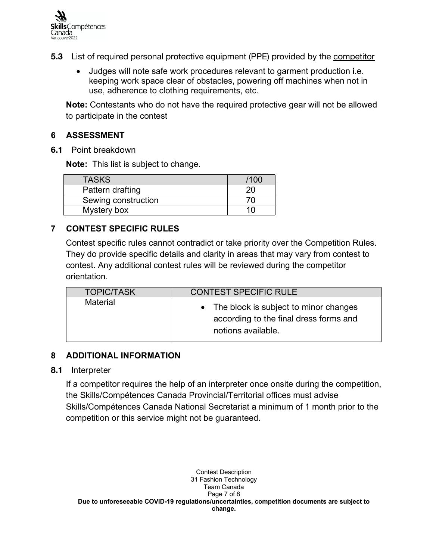

- **5.3** List of required personal protective equipment (PPE) provided by the competitor
	- Judges will note safe work procedures relevant to garment production i.e. keeping work space clear of obstacles, powering off machines when not in use, adherence to clothing requirements, etc.

**Note:** Contestants who do not have the required protective gear will not be allowed to participate in the contest

#### **6 ASSESSMENT**

**6.1** Point breakdown

**Note:** This list is subject to change.

| <b>TASKS</b>        | ′100 |
|---------------------|------|
| Pattern drafting    |      |
| Sewing construction |      |
| Mystery box         |      |

# **7 CONTEST SPECIFIC RULES**

Contest specific rules cannot contradict or take priority over the Competition Rules. They do provide specific details and clarity in areas that may vary from contest to contest. Any additional contest rules will be reviewed during the competitor orientation.

| <b>TOPIC/TASK</b> | <b>CONTEST SPECIFIC RULE</b>                                                                            |
|-------------------|---------------------------------------------------------------------------------------------------------|
| Material          | • The block is subject to minor changes<br>according to the final dress forms and<br>notions available. |

#### **8 ADDITIONAL INFORMATION**

#### **8.1** Interpreter

If a competitor requires the help of an interpreter once onsite during the competition, the Skills/Compétences Canada Provincial/Territorial offices must advise Skills/Compétences Canada National Secretariat a minimum of 1 month prior to the competition or this service might not be guaranteed.